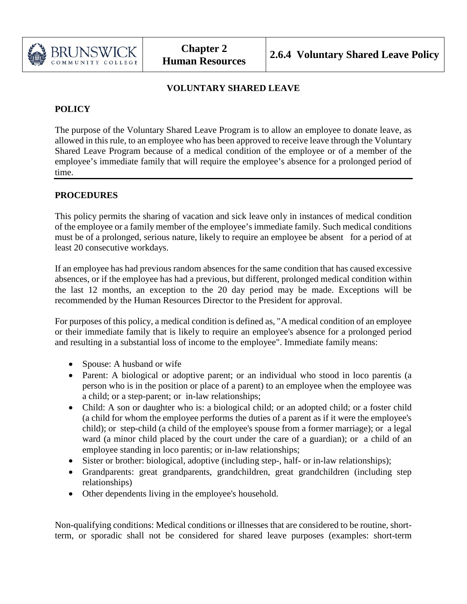

# **VOLUNTARY SHARED LEAVE**

# **POLICY**

The purpose of the Voluntary Shared Leave Program is to allow an employee to donate leave, as allowed in this rule, to an employee who has been approved to receive leave through the Voluntary Shared Leave Program because of a medical condition of the employee or of a member of the employee's immediate family that will require the employee's absence for a prolonged period of time.

## **PROCEDURES**

This policy permits the sharing of vacation and sick leave only in instances of medical condition of the employee or a family member of the employee's immediate family. Such medical conditions must be of a prolonged, serious nature, likely to require an employee be absent for a period of at least 20 consecutive workdays.

If an employee has had previous random absences for the same condition that has caused excessive absences, or if the employee has had a previous, but different, prolonged medical condition within the last 12 months, an exception to the 20 day period may be made. Exceptions will be recommended by the Human Resources Director to the President for approval.

For purposes of this policy, a medical condition is defined as, "A medical condition of an employee or their immediate family that is likely to require an employee's absence for a prolonged period and resulting in a substantial loss of income to the employee". Immediate family means:

- Spouse: A husband or wife
- Parent: A biological or adoptive parent; or an individual who stood in loco parentis (a person who is in the position or place of a parent) to an employee when the employee was a child; or a step-parent; or in-law relationships;
- Child: A son or daughter who is: a biological child; or an adopted child; or a foster child (a child for whom the employee performs the duties of a parent as if it were the employee's child); or step-child (a child of the employee's spouse from a former marriage); or a legal ward (a minor child placed by the court under the care of a guardian); or a child of an employee standing in loco parentis; or in-law relationships;
- Sister or brother: biological, adoptive (including step-, half- or in-law relationships);
- Grandparents: great grandparents, grandchildren, great grandchildren (including step relationships)
- Other dependents living in the employee's household.

 Non-qualifying conditions: Medical conditions or illnesses that are considered to be routine, shortterm, or sporadic shall not be considered for shared leave purposes (examples: short-term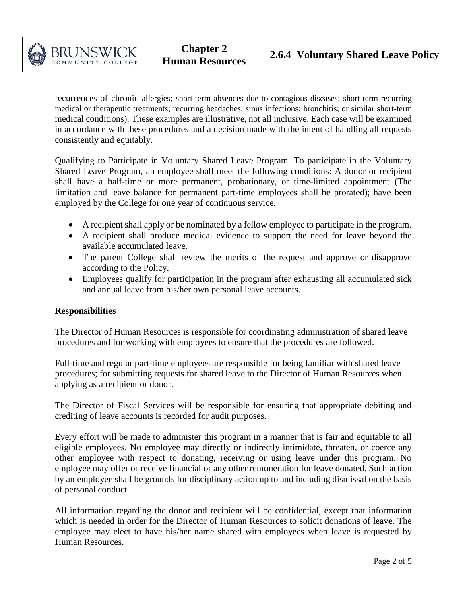

recurrences of chronic allergies; short-term absences due to contagious diseases; short-term recurring medical or therapeutic treatments; recurring headaches; sinus infections; bronchitis; or similar short-term medical conditions). These examples are illustrative, not all inclusive. Each case will be examined in accordance with these procedures and a decision made with the intent of handling all requests consistently and equitably.

Qualifying to Participate in Voluntary Shared Leave Program. To participate in the Voluntary Shared Leave Program, an employee shall meet the following conditions: A donor or recipient shall have a half-time or more permanent, probationary, or time-limited appointment (The limitation and leave balance for permanent part-time employees shall be prorated); have been employed by the College for one year of continuous service.

- A recipient shall apply or be nominated by a fellow employee to participate in the program.
- A recipient shall produce medical evidence to support the need for leave beyond the available accumulated leave.
- The parent College shall review the merits of the request and approve or disapprove according to the Policy.
- Employees qualify for participation in the program after exhausting all accumulated sick and annual leave from his/her own personal leave accounts.

## **Responsibilities**

The Director of Human Resources is responsible for coordinating administration of shared leave procedures and for working with employees to ensure that the procedures are followed.

Full-time and regular part-time employees are responsible for being familiar with shared leave procedures; for submitting requests for shared leave to the Director of Human Resources when applying as a recipient or donor.

The Director of Fiscal Services will be responsible for ensuring that appropriate debiting and crediting of leave accounts is recorded for audit purposes.

Every effort will be made to administer this program in a manner that is fair and equitable to all eligible employees. No employee may directly or indirectly intimidate, threaten, or coerce any other employee with respect to donating, receiving or using leave under this program. No employee may offer or receive financial or any other remuneration for leave donated. Such action by an employee shall be grounds for disciplinary action up to and including dismissal on the basis of personal conduct.

All information regarding the donor and recipient will be confidential, except that information which is needed in order for the Director of Human Resources to solicit donations of leave. The employee may elect to have his/her name shared with employees when leave is requested by Human Resources.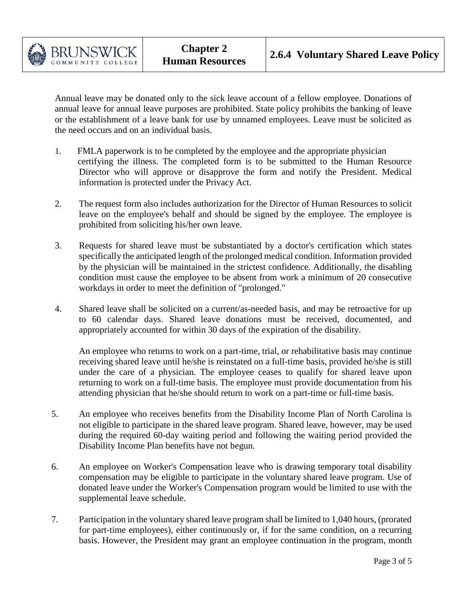

Annual leave may be donated only to the sick leave account of a fellow employee. Donations of annual leave for annual leave purposes are prohibited. State policy prohibits the banking of leave or the establishment of a leave bank for use by unnamed employees. Leave must be solicited as the need occurs and on an individual basis.

- 1. FMLA paperwork is to be completed by the employee and the appropriate physician certifying the illness. The completed form is to be submitted to the Human Resource Director who will approve or disapprove the form and notify the President. Medical information is protected under the Privacy Act.
- 2. The request form also includes authorization for the Director of Human Resources to solicit leave on the employee's behalf and should be signed by the employee. The employee is prohibited from soliciting his/her own leave.
- 3. Requests for shared leave must be substantiated by a doctor's certification which states specifically the anticipated length of the prolonged medical condition. Information provided by the physician will be maintained in the strictest confidence. Additionally, the disabling condition must cause the employee to be absent from work a minimum of 20 consecutive workdays in order to meet the definition of "prolonged."
- 4. Shared leave shall be solicited on a current/as-needed basis, and may be retroactive for up to 60 calendar days. Shared leave donations must be received, documented, and appropriately accounted for within 30 days of the expiration of the disability.

An employee who returns to work on a part-time, trial, or rehabilitative basis may continue receiving shared leave until he/she is reinstated on a full-time basis, provided he/she is still under the care of a physician. The employee ceases to qualify for shared leave upon returning to work on a full-time basis. The employee must provide documentation from his attending physician that he/she should return to work on a part-time or full-time basis.

- 5. An employee who receives benefits from the Disability Income Plan of North Carolina is not eligible to participate in the shared leave program. Shared leave, however, may be used during the required 60-day waiting period and following the waiting period provided the Disability Income Plan benefits have not begun.
- 6. An employee on Worker's Compensation leave who is drawing temporary total disability compensation may be eligible to participate in the voluntary shared leave program. Use of donated leave under the Worker's Compensation program would be limited to use with the supplemental leave schedule.
- 7. Participation in the voluntary shared leave program shall be limited to 1,040 hours, (prorated for part-time employees), either continuously or, if for the same condition, on a recurring basis. However, the President may grant an employee continuation in the program, month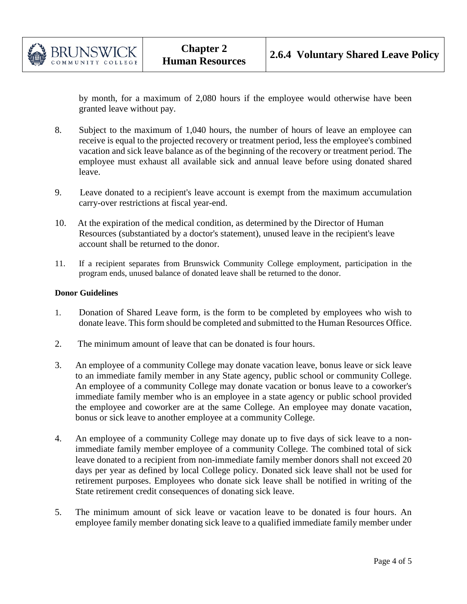

by month, for a maximum of 2,080 hours if the employee would otherwise have been granted leave without pay.

- 8. Subject to the maximum of 1,040 hours, the number of hours of leave an employee can receive is equal to the projected recovery or treatment period, less the employee's combined vacation and sick leave balance as of the beginning of the recovery or treatment period. The employee must exhaust all available sick and annual leave before using donated shared leave.
- 9. Leave donated to a recipient's leave account is exempt from the maximum accumulation carry-over restrictions at fiscal year-end.
- 10. At the expiration of the medical condition, as determined by the Director of Human Resources (substantiated by a doctor's statement), unused leave in the recipient's leave account shall be returned to the donor.
- 11. If a recipient separates from Brunswick Community College employment, participation in the program ends, unused balance of donated leave shall be returned to the donor.

#### **Donor Guidelines**

- 1. Donation of Shared Leave form, is the form to be completed by employees who wish to donate leave. This form should be completed and submitted to the Human Resources Office.
- 2. The minimum amount of leave that can be donated is four hours.
- 3. An employee of a community College may donate vacation leave, bonus leave or sick leave to an immediate family member in any State agency, public school or community College. An employee of a community College may donate vacation or bonus leave to a coworker's immediate family member who is an employee in a state agency or public school provided the employee and coworker are at the same College. An employee may donate vacation, bonus or sick leave to another employee at a community College.
- 4. An employee of a community College may donate up to five days of sick leave to a nonimmediate family member employee of a community College. The combined total of sick leave donated to a recipient from non-immediate family member donors shall not exceed 20 days per year as defined by local College policy. Donated sick leave shall not be used for retirement purposes. Employees who donate sick leave shall be notified in writing of the State retirement credit consequences of donating sick leave.
- 5. The minimum amount of sick leave or vacation leave to be donated is four hours. An employee family member donating sick leave to a qualified immediate family member under